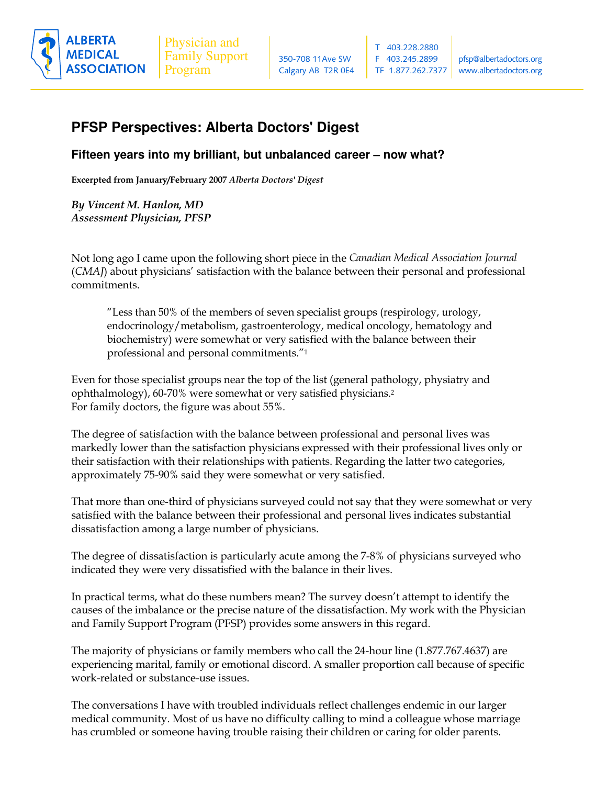

## **PFSP Perspectives: Alberta Doctors' Digest**

**Fifteen years into my brilliant, but unbalanced career – now what?**

Excerpted from January/February 2007 Alb*erta Doctors' Digest* 

By Vincent M. Hanlon, MD **Assessment Physician, PFSP** 

Not long ago I came upon the following short piece in the Canadian Medical Association Journal (CMAJ) about physicians' satisfaction with the balance between their personal and professional commitments.

"Less than 50% of the members of seven specialist groups (respirology, urology,  $\overline{\phantom{a}}$ endocrinology/metabolism, gastroenterology, medical oncology, hematology and biochemistry) were somewhat or very satisfied with the balance between their professional and personal commitments." $^{\prime\prime}$ 1

Even for those specialist groups near the top of the list (general pathology, physiatry and ophthalmology), 60-70% were somewhat or very satisfied physicians.<sup>2</sup> For family doctors, the figure was about 55%.

The degree of satisfaction with the balance between professional and personal lives was markedly lower than the satisfaction physicians expressed with their professional lives only or their satisfaction with their relationships with patients. Regarding the latter two categories, approximately 75-90% said they were somewhat or very satisfied.

That more than one-third of physicians surveyed could not say that they were somewhat or very satisfied with the balance between their professional and personal lives indicates substantial dissatisfaction among a large number of physicians.

The degree of dissatisfaction is particularly acute among the 7-8% of physicians surveyed who indicated they were very dissatisfied with the balance in their lives.

In practical terms, what do these numbers mean? The survey doesn't attempt to identify the causes of the imbalance or the precise nature of the dissatisfaction. My work with the Physician and Family Support Program (PFSP) provides some answers in this regard.

The majority of physicians or family members who call the 24-hour line (1.877.767.4637) are experiencing marital, family or emotional discord. A smaller proportion call because of specific work-related or substance-use issues.

The conversations I have with troubled individuals reflect challenges endemic in our larger medical community. Most of us have no difficulty calling to mind a colleague whose marriage --- ! -   - --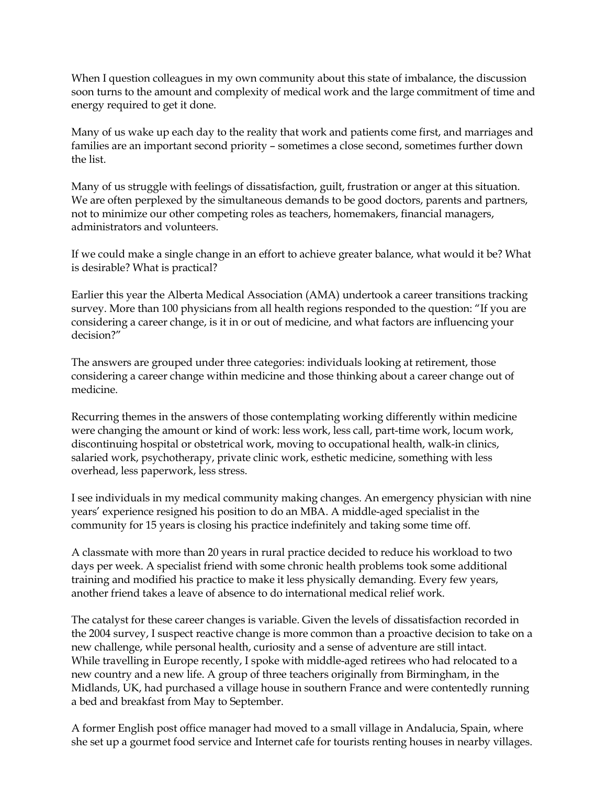When I question colleagues in my own community about this state of imbalance, the discussion soon turns to the amount and complexity of medical work and the large commitment of time and energy required to get it done.

Many of us wake up each day to the reality that work and patients come first, and marriages and families are an important second priority - sometimes a close second, sometimes further down the list.

Many of us struggle with feelings of dissatisfaction, guilt, frustration or anger at this situation. We are often perplexed by the simultaneous demands to be good doctors, parents and partners, not to minimize our other competing roles as teachers, homemakers, financial managers, administrators and volunteers.

If we could make a single change in an effort to achieve greater balance, what would it be? What is desirable? What is practical?

Earlier this year the Alberta Medical Association (AMA) undertook a career transitions tracking survey. More than 100 physicians from all health regions responded to the question: "If you are considering a career change, is it in or out of medicine, and what factors are influencing your decision?"

The answers are grouped under three categories: individuals looking at retirement, those considering a career change within medicine and those thinking about a career change out of medicine.

Recurring themes in the answers of those contemplating working differently within medicine were changing the amount or kind of work: less work, less call, part-time work, locum work, discontinuing hospital or obstetrical work, moving to occupational health, walk-in clinics, salaried work, psychotherapy, private clinic work, esthetic medicine, something with less overhead, less paperwork, less stress.

I see individuals in my medical community making changes. An emergency physician with nine years' experience resigned his position to do an MBA. A middle-aged specialist in the community for 15 years is closing his practice indefinitely and taking some time off.

A classmate with more than 20 years in rural practice decided to reduce his workload to two days per week. A specialist friend with some chronic health problems took some additional training and modified his practice to make it less physically demanding. Every few years, another friend takes a leave of absence to do international medical relief work.

The catalyst for these career changes is variable. Given the levels of dissatisfaction recorded in the 2004 survey, I suspect reactive change is more common than a proactive decision to take on a new challenge, while personal health, curiosity and a sense of adventure are still intact. While travelling in Europe recently, I spoke with middle-aged retirees who had relocated to a new country and a new life. A group of three teachers originally from Birmingham, in the Midlands, UK, had purchased a village house in southern France and were contentedly running a bed and breakfast from May to September.

A former English post office manager had moved to a small village in Andalucia, Spain, where she set up a gourmet food service and Internet cafe for tourists renting houses in nearby villages.